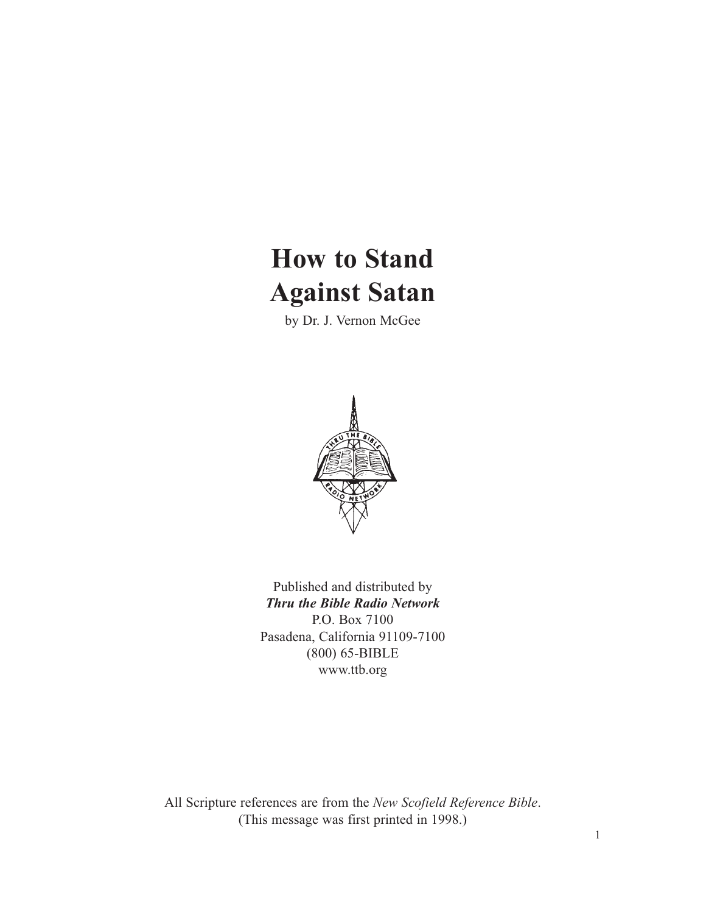# **How to Stand Against Satan**

by Dr. J. Vernon McGee



Published and distributed by *Thru the Bible Radio Network* P.O. Box 7100 Pasadena, California 91109-7100 (800) 65-BIBLE www.ttb.org

All Scripture references are from the *New Scofield Reference Bible*. (This message was first printed in 1998.)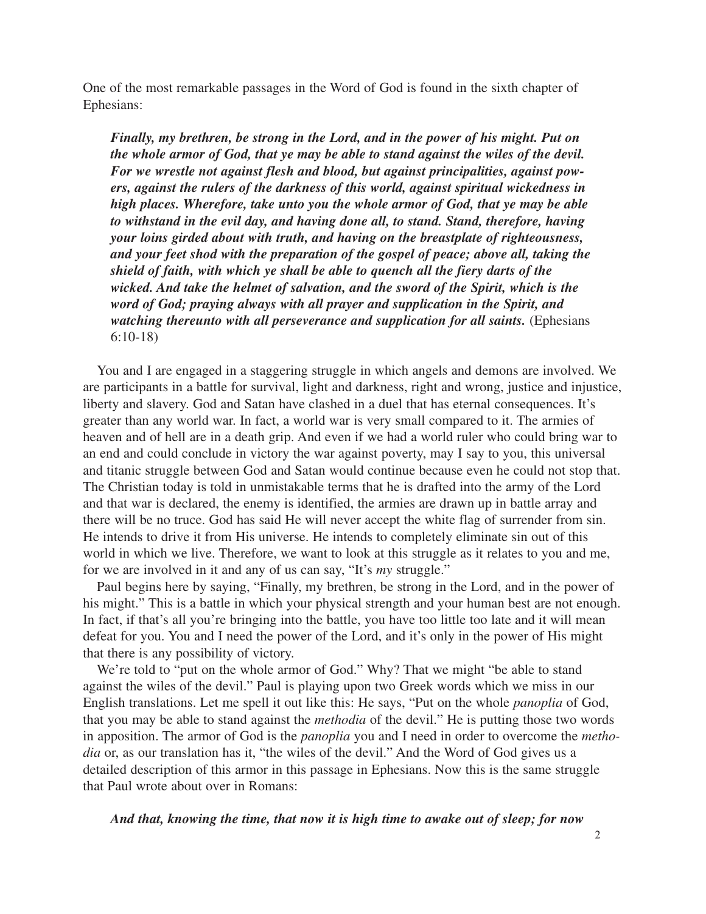One of the most remarkable passages in the Word of God is found in the sixth chapter of Ephesians:

*Finally, my brethren, be strong in the Lord, and in the power of his might. Put on the whole armor of God, that ye may be able to stand against the wiles of the devil. For we wrestle not against flesh and blood, but against principalities, against powers, against the rulers of the darkness of this world, against spiritual wickedness in high places. Wherefore, take unto you the whole armor of God, that ye may be able to withstand in the evil day, and having done all, to stand. Stand, therefore, having your loins girded about with truth, and having on the breastplate of righteousness, and your feet shod with the preparation of the gospel of peace; above all, taking the shield of faith, with which ye shall be able to quench all the fiery darts of the wicked. And take the helmet of salvation, and the sword of the Spirit, which is the word of God; praying always with all prayer and supplication in the Spirit, and watching thereunto with all perseverance and supplication for all saints.* (Ephesians 6:10-18)

You and I are engaged in a staggering struggle in which angels and demons are involved. We are participants in a battle for survival, light and darkness, right and wrong, justice and injustice, liberty and slavery. God and Satan have clashed in a duel that has eternal consequences. It's greater than any world war. In fact, a world war is very small compared to it. The armies of heaven and of hell are in a death grip. And even if we had a world ruler who could bring war to an end and could conclude in victory the war against poverty, may I say to you, this universal and titanic struggle between God and Satan would continue because even he could not stop that. The Christian today is told in unmistakable terms that he is drafted into the army of the Lord and that war is declared, the enemy is identified, the armies are drawn up in battle array and there will be no truce. God has said He will never accept the white flag of surrender from sin. He intends to drive it from His universe. He intends to completely eliminate sin out of this world in which we live. Therefore, we want to look at this struggle as it relates to you and me, for we are involved in it and any of us can say, "It's *my* struggle."

Paul begins here by saying, "Finally, my brethren, be strong in the Lord, and in the power of his might." This is a battle in which your physical strength and your human best are not enough. In fact, if that's all you're bringing into the battle, you have too little too late and it will mean defeat for you. You and I need the power of the Lord, and it's only in the power of His might that there is any possibility of victory.

We're told to "put on the whole armor of God." Why? That we might "be able to stand against the wiles of the devil." Paul is playing upon two Greek words which we miss in our English translations. Let me spell it out like this: He says, "Put on the whole *panoplia* of God, that you may be able to stand against the *methodia* of the devil." He is putting those two words in apposition. The armor of God is the *panoplia* you and I need in order to overcome the *methodia* or, as our translation has it, "the wiles of the devil." And the Word of God gives us a detailed description of this armor in this passage in Ephesians. Now this is the same struggle that Paul wrote about over in Romans:

*And that, knowing the time, that now it is high time to awake out of sleep; for now*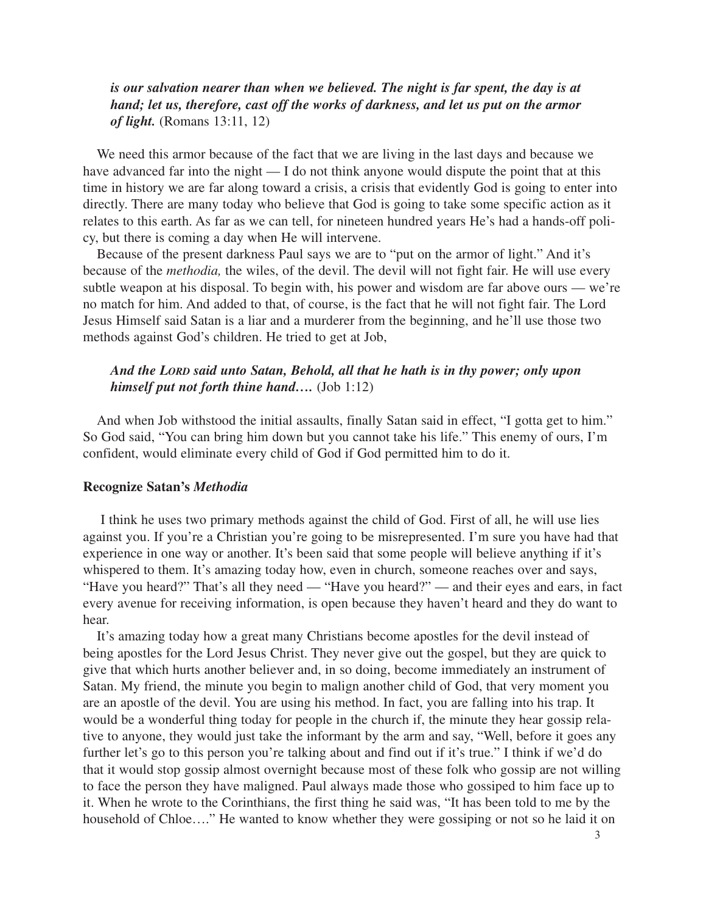## *is our salvation nearer than when we believed. The night is far spent, the day is at hand; let us, therefore, cast off the works of darkness, and let us put on the armor of light.* (Romans 13:11, 12)

We need this armor because of the fact that we are living in the last days and because we have advanced far into the night — I do not think anyone would dispute the point that at this time in history we are far along toward a crisis, a crisis that evidently God is going to enter into directly. There are many today who believe that God is going to take some specific action as it relates to this earth. As far as we can tell, for nineteen hundred years He's had a hands-off policy, but there is coming a day when He will intervene.

Because of the present darkness Paul says we are to "put on the armor of light." And it's because of the *methodia,* the wiles, of the devil. The devil will not fight fair. He will use every subtle weapon at his disposal. To begin with, his power and wisdom are far above ours — we're no match for him. And added to that, of course, is the fact that he will not fight fair. The Lord Jesus Himself said Satan is a liar and a murderer from the beginning, and he'll use those two methods against God's children. He tried to get at Job,

## *And the LORD said unto Satan, Behold, all that he hath is in thy power; only upon himself put not forth thine hand….* (Job 1:12)

And when Job withstood the initial assaults, finally Satan said in effect, "I gotta get to him." So God said, "You can bring him down but you cannot take his life." This enemy of ours, I'm confident, would eliminate every child of God if God permitted him to do it.

#### **Recognize Satan's** *Methodia*

I think he uses two primary methods against the child of God. First of all, he will use lies against you. If you're a Christian you're going to be misrepresented. I'm sure you have had that experience in one way or another. It's been said that some people will believe anything if it's whispered to them. It's amazing today how, even in church, someone reaches over and says, "Have you heard?" That's all they need — "Have you heard?" — and their eyes and ears, in fact every avenue for receiving information, is open because they haven't heard and they do want to hear.

It's amazing today how a great many Christians become apostles for the devil instead of being apostles for the Lord Jesus Christ. They never give out the gospel, but they are quick to give that which hurts another believer and, in so doing, become immediately an instrument of Satan. My friend, the minute you begin to malign another child of God, that very moment you are an apostle of the devil. You are using his method. In fact, you are falling into his trap. It would be a wonderful thing today for people in the church if, the minute they hear gossip relative to anyone, they would just take the informant by the arm and say, "Well, before it goes any further let's go to this person you're talking about and find out if it's true." I think if we'd do that it would stop gossip almost overnight because most of these folk who gossip are not willing to face the person they have maligned. Paul always made those who gossiped to him face up to it. When he wrote to the Corinthians, the first thing he said was, "It has been told to me by the household of Chloe…." He wanted to know whether they were gossiping or not so he laid it on

3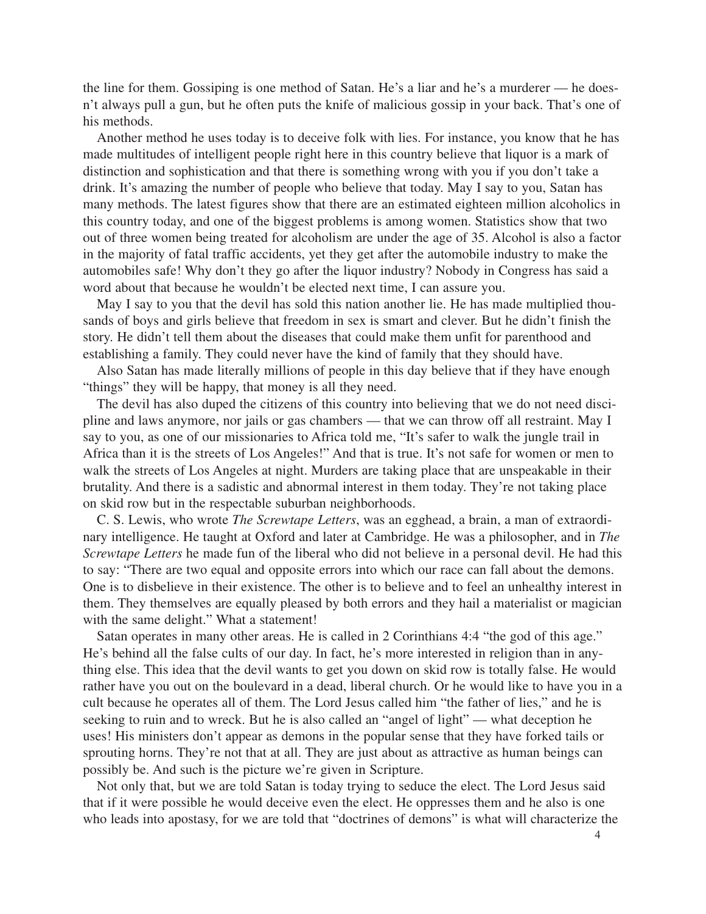the line for them. Gossiping is one method of Satan. He's a liar and he's a murderer — he doesn't always pull a gun, but he often puts the knife of malicious gossip in your back. That's one of his methods.

Another method he uses today is to deceive folk with lies. For instance, you know that he has made multitudes of intelligent people right here in this country believe that liquor is a mark of distinction and sophistication and that there is something wrong with you if you don't take a drink. It's amazing the number of people who believe that today. May I say to you, Satan has many methods. The latest figures show that there are an estimated eighteen million alcoholics in this country today, and one of the biggest problems is among women. Statistics show that two out of three women being treated for alcoholism are under the age of 35. Alcohol is also a factor in the majority of fatal traffic accidents, yet they get after the automobile industry to make the automobiles safe! Why don't they go after the liquor industry? Nobody in Congress has said a word about that because he wouldn't be elected next time, I can assure you.

May I say to you that the devil has sold this nation another lie. He has made multiplied thousands of boys and girls believe that freedom in sex is smart and clever. But he didn't finish the story. He didn't tell them about the diseases that could make them unfit for parenthood and establishing a family. They could never have the kind of family that they should have.

Also Satan has made literally millions of people in this day believe that if they have enough "things" they will be happy, that money is all they need.

The devil has also duped the citizens of this country into believing that we do not need discipline and laws anymore, nor jails or gas chambers — that we can throw off all restraint. May I say to you, as one of our missionaries to Africa told me, "It's safer to walk the jungle trail in Africa than it is the streets of Los Angeles!" And that is true. It's not safe for women or men to walk the streets of Los Angeles at night. Murders are taking place that are unspeakable in their brutality. And there is a sadistic and abnormal interest in them today. They're not taking place on skid row but in the respectable suburban neighborhoods.

C. S. Lewis, who wrote *The Screwtape Letters*, was an egghead, a brain, a man of extraordinary intelligence. He taught at Oxford and later at Cambridge. He was a philosopher, and in *The Screwtape Letters* he made fun of the liberal who did not believe in a personal devil. He had this to say: "There are two equal and opposite errors into which our race can fall about the demons. One is to disbelieve in their existence. The other is to believe and to feel an unhealthy interest in them. They themselves are equally pleased by both errors and they hail a materialist or magician with the same delight." What a statement!

Satan operates in many other areas. He is called in 2 Corinthians 4:4 "the god of this age." He's behind all the false cults of our day. In fact, he's more interested in religion than in anything else. This idea that the devil wants to get you down on skid row is totally false. He would rather have you out on the boulevard in a dead, liberal church. Or he would like to have you in a cult because he operates all of them. The Lord Jesus called him "the father of lies," and he is seeking to ruin and to wreck. But he is also called an "angel of light" — what deception he uses! His ministers don't appear as demons in the popular sense that they have forked tails or sprouting horns. They're not that at all. They are just about as attractive as human beings can possibly be. And such is the picture we're given in Scripture.

Not only that, but we are told Satan is today trying to seduce the elect. The Lord Jesus said that if it were possible he would deceive even the elect. He oppresses them and he also is one who leads into apostasy, for we are told that "doctrines of demons" is what will characterize the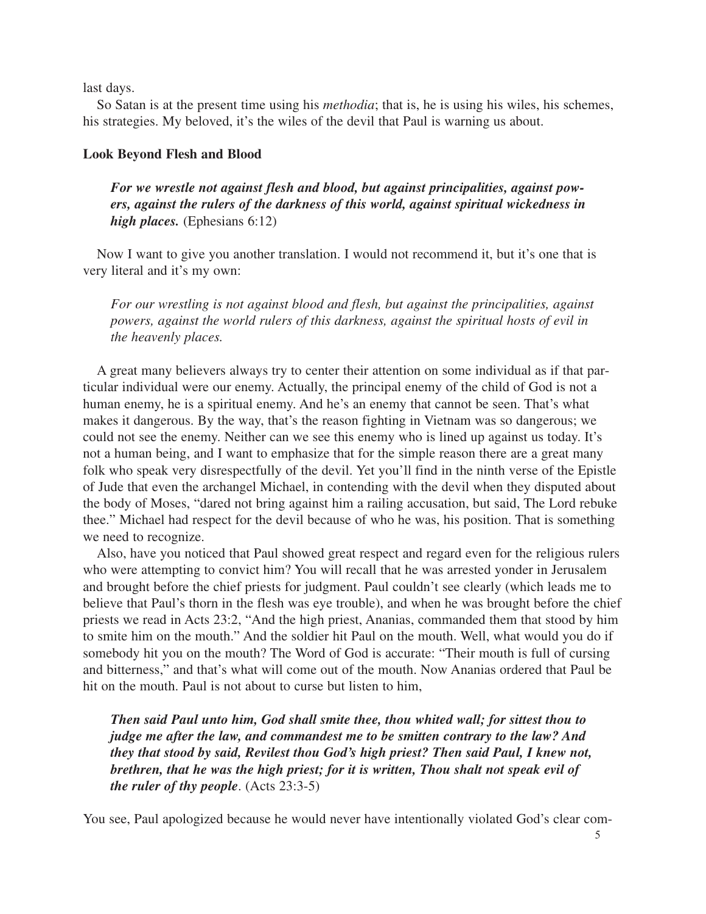last days.

So Satan is at the present time using his *methodia*; that is, he is using his wiles, his schemes, his strategies. My beloved, it's the wiles of the devil that Paul is warning us about.

## **Look Beyond Flesh and Blood**

*For we wrestle not against flesh and blood, but against principalities, against powers, against the rulers of the darkness of this world, against spiritual wickedness in high places.* (Ephesians 6:12)

Now I want to give you another translation. I would not recommend it, but it's one that is very literal and it's my own:

*For our wrestling is not against blood and flesh, but against the principalities, against powers, against the world rulers of this darkness, against the spiritual hosts of evil in the heavenly places.*

A great many believers always try to center their attention on some individual as if that particular individual were our enemy. Actually, the principal enemy of the child of God is not a human enemy, he is a spiritual enemy. And he's an enemy that cannot be seen. That's what makes it dangerous. By the way, that's the reason fighting in Vietnam was so dangerous; we could not see the enemy. Neither can we see this enemy who is lined up against us today. It's not a human being, and I want to emphasize that for the simple reason there are a great many folk who speak very disrespectfully of the devil. Yet you'll find in the ninth verse of the Epistle of Jude that even the archangel Michael, in contending with the devil when they disputed about the body of Moses, "dared not bring against him a railing accusation, but said, The Lord rebuke thee." Michael had respect for the devil because of who he was, his position. That is something we need to recognize.

Also, have you noticed that Paul showed great respect and regard even for the religious rulers who were attempting to convict him? You will recall that he was arrested yonder in Jerusalem and brought before the chief priests for judgment. Paul couldn't see clearly (which leads me to believe that Paul's thorn in the flesh was eye trouble), and when he was brought before the chief priests we read in Acts 23:2, "And the high priest, Ananias, commanded them that stood by him to smite him on the mouth." And the soldier hit Paul on the mouth. Well, what would you do if somebody hit you on the mouth? The Word of God is accurate: "Their mouth is full of cursing and bitterness," and that's what will come out of the mouth. Now Ananias ordered that Paul be hit on the mouth. Paul is not about to curse but listen to him,

*Then said Paul unto him, God shall smite thee, thou whited wall; for sittest thou to judge me after the law, and commandest me to be smitten contrary to the law? And they that stood by said, Revilest thou God's high priest? Then said Paul, I knew not, brethren, that he was the high priest; for it is written, Thou shalt not speak evil of the ruler of thy people*. (Acts 23:3-5)

You see, Paul apologized because he would never have intentionally violated God's clear com-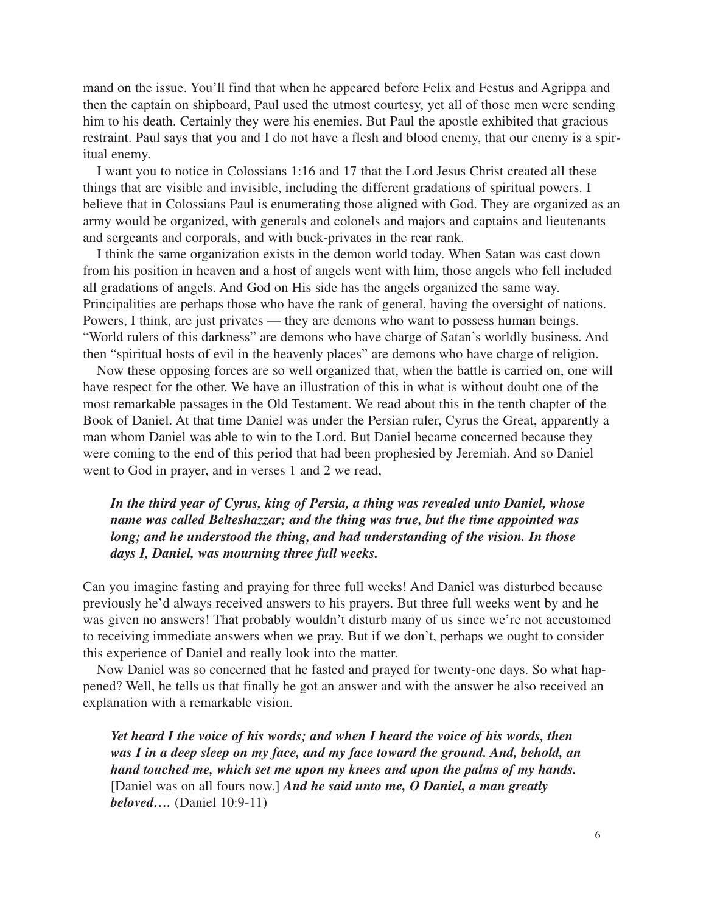mand on the issue. You'll find that when he appeared before Felix and Festus and Agrippa and then the captain on shipboard, Paul used the utmost courtesy, yet all of those men were sending him to his death. Certainly they were his enemies. But Paul the apostle exhibited that gracious restraint. Paul says that you and I do not have a flesh and blood enemy, that our enemy is a spiritual enemy.

I want you to notice in Colossians 1:16 and 17 that the Lord Jesus Christ created all these things that are visible and invisible, including the different gradations of spiritual powers. I believe that in Colossians Paul is enumerating those aligned with God. They are organized as an army would be organized, with generals and colonels and majors and captains and lieutenants and sergeants and corporals, and with buck-privates in the rear rank.

I think the same organization exists in the demon world today. When Satan was cast down from his position in heaven and a host of angels went with him, those angels who fell included all gradations of angels. And God on His side has the angels organized the same way. Principalities are perhaps those who have the rank of general, having the oversight of nations. Powers, I think, are just privates — they are demons who want to possess human beings. "World rulers of this darkness" are demons who have charge of Satan's worldly business. And then "spiritual hosts of evil in the heavenly places" are demons who have charge of religion.

Now these opposing forces are so well organized that, when the battle is carried on, one will have respect for the other. We have an illustration of this in what is without doubt one of the most remarkable passages in the Old Testament. We read about this in the tenth chapter of the Book of Daniel. At that time Daniel was under the Persian ruler, Cyrus the Great, apparently a man whom Daniel was able to win to the Lord. But Daniel became concerned because they were coming to the end of this period that had been prophesied by Jeremiah. And so Daniel went to God in prayer, and in verses 1 and 2 we read,

## *In the third year of Cyrus, king of Persia, a thing was revealed unto Daniel, whose name was called Belteshazzar; and the thing was true, but the time appointed was long; and he understood the thing, and had understanding of the vision. In those days I, Daniel, was mourning three full weeks.*

Can you imagine fasting and praying for three full weeks! And Daniel was disturbed because previously he'd always received answers to his prayers. But three full weeks went by and he was given no answers! That probably wouldn't disturb many of us since we're not accustomed to receiving immediate answers when we pray. But if we don't, perhaps we ought to consider this experience of Daniel and really look into the matter.

Now Daniel was so concerned that he fasted and prayed for twenty-one days. So what happened? Well, he tells us that finally he got an answer and with the answer he also received an explanation with a remarkable vision.

*Yet heard I the voice of his words; and when I heard the voice of his words, then was I in a deep sleep on my face, and my face toward the ground. And, behold, an hand touched me, which set me upon my knees and upon the palms of my hands.* [Daniel was on all fours now.] *And he said unto me, O Daniel, a man greatly beloved….* (Daniel 10:9-11)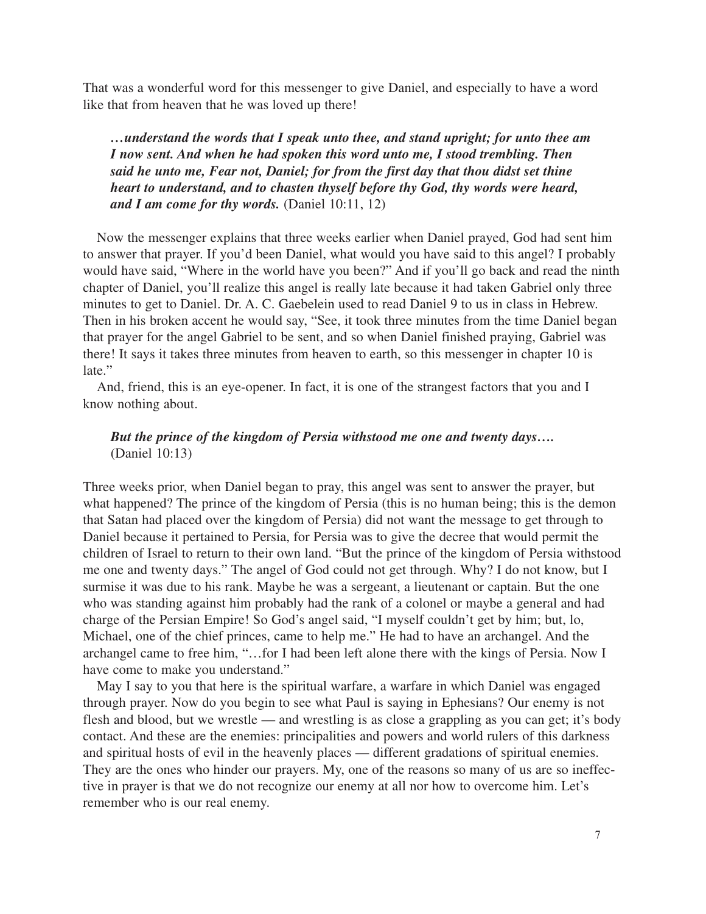That was a wonderful word for this messenger to give Daniel, and especially to have a word like that from heaven that he was loved up there!

*…understand the words that I speak unto thee, and stand upright; for unto thee am I now sent. And when he had spoken this word unto me, I stood trembling. Then said he unto me, Fear not, Daniel; for from the first day that thou didst set thine heart to understand, and to chasten thyself before thy God, thy words were heard, and I am come for thy words.* (Daniel 10:11, 12)

Now the messenger explains that three weeks earlier when Daniel prayed, God had sent him to answer that prayer. If you'd been Daniel, what would you have said to this angel? I probably would have said, "Where in the world have you been?" And if you'll go back and read the ninth chapter of Daniel, you'll realize this angel is really late because it had taken Gabriel only three minutes to get to Daniel. Dr. A. C. Gaebelein used to read Daniel 9 to us in class in Hebrew. Then in his broken accent he would say, "See, it took three minutes from the time Daniel began that prayer for the angel Gabriel to be sent, and so when Daniel finished praying, Gabriel was there! It says it takes three minutes from heaven to earth, so this messenger in chapter 10 is late."

And, friend, this is an eye-opener. In fact, it is one of the strangest factors that you and I know nothing about.

# *But the prince of the kingdom of Persia withstood me one and twenty days….* (Daniel 10:13)

Three weeks prior, when Daniel began to pray, this angel was sent to answer the prayer, but what happened? The prince of the kingdom of Persia (this is no human being; this is the demon that Satan had placed over the kingdom of Persia) did not want the message to get through to Daniel because it pertained to Persia, for Persia was to give the decree that would permit the children of Israel to return to their own land. "But the prince of the kingdom of Persia withstood me one and twenty days." The angel of God could not get through. Why? I do not know, but I surmise it was due to his rank. Maybe he was a sergeant, a lieutenant or captain. But the one who was standing against him probably had the rank of a colonel or maybe a general and had charge of the Persian Empire! So God's angel said, "I myself couldn't get by him; but, lo, Michael, one of the chief princes, came to help me." He had to have an archangel. And the archangel came to free him, "…for I had been left alone there with the kings of Persia. Now I have come to make you understand."

May I say to you that here is the spiritual warfare, a warfare in which Daniel was engaged through prayer. Now do you begin to see what Paul is saying in Ephesians? Our enemy is not flesh and blood, but we wrestle — and wrestling is as close a grappling as you can get; it's body contact. And these are the enemies: principalities and powers and world rulers of this darkness and spiritual hosts of evil in the heavenly places — different gradations of spiritual enemies. They are the ones who hinder our prayers. My, one of the reasons so many of us are so ineffective in prayer is that we do not recognize our enemy at all nor how to overcome him. Let's remember who is our real enemy.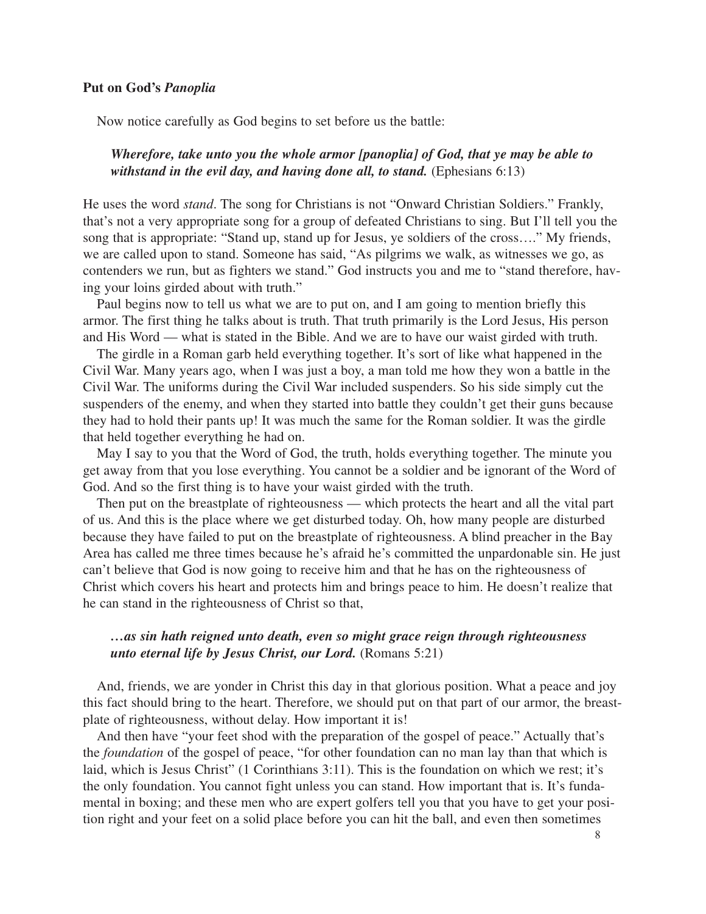## **Put on God's** *Panoplia*

Now notice carefully as God begins to set before us the battle:

## *Wherefore, take unto you the whole armor [panoplia] of God, that ye may be able to* withstand in the evil day, and having done all, to stand. (Ephesians 6:13)

He uses the word *stand*. The song for Christians is not "Onward Christian Soldiers." Frankly, that's not a very appropriate song for a group of defeated Christians to sing. But I'll tell you the song that is appropriate: "Stand up, stand up for Jesus, ye soldiers of the cross…." My friends, we are called upon to stand. Someone has said, "As pilgrims we walk, as witnesses we go, as contenders we run, but as fighters we stand." God instructs you and me to "stand therefore, having your loins girded about with truth."

Paul begins now to tell us what we are to put on, and I am going to mention briefly this armor. The first thing he talks about is truth. That truth primarily is the Lord Jesus, His person and His Word — what is stated in the Bible. And we are to have our waist girded with truth.

The girdle in a Roman garb held everything together. It's sort of like what happened in the Civil War. Many years ago, when I was just a boy, a man told me how they won a battle in the Civil War. The uniforms during the Civil War included suspenders. So his side simply cut the suspenders of the enemy, and when they started into battle they couldn't get their guns because they had to hold their pants up! It was much the same for the Roman soldier. It was the girdle that held together everything he had on.

May I say to you that the Word of God, the truth, holds everything together. The minute you get away from that you lose everything. You cannot be a soldier and be ignorant of the Word of God. And so the first thing is to have your waist girded with the truth.

Then put on the breastplate of righteousness — which protects the heart and all the vital part of us. And this is the place where we get disturbed today. Oh, how many people are disturbed because they have failed to put on the breastplate of righteousness. A blind preacher in the Bay Area has called me three times because he's afraid he's committed the unpardonable sin. He just can't believe that God is now going to receive him and that he has on the righteousness of Christ which covers his heart and protects him and brings peace to him. He doesn't realize that he can stand in the righteousness of Christ so that,

## *…as sin hath reigned unto death, even so might grace reign through righteousness unto eternal life by Jesus Christ, our Lord.* (Romans 5:21)

And, friends, we are yonder in Christ this day in that glorious position. What a peace and joy this fact should bring to the heart. Therefore, we should put on that part of our armor, the breastplate of righteousness, without delay. How important it is!

And then have "your feet shod with the preparation of the gospel of peace." Actually that's the *foundation* of the gospel of peace, "for other foundation can no man lay than that which is laid, which is Jesus Christ" (1 Corinthians 3:11). This is the foundation on which we rest; it's the only foundation. You cannot fight unless you can stand. How important that is. It's fundamental in boxing; and these men who are expert golfers tell you that you have to get your position right and your feet on a solid place before you can hit the ball, and even then sometimes

8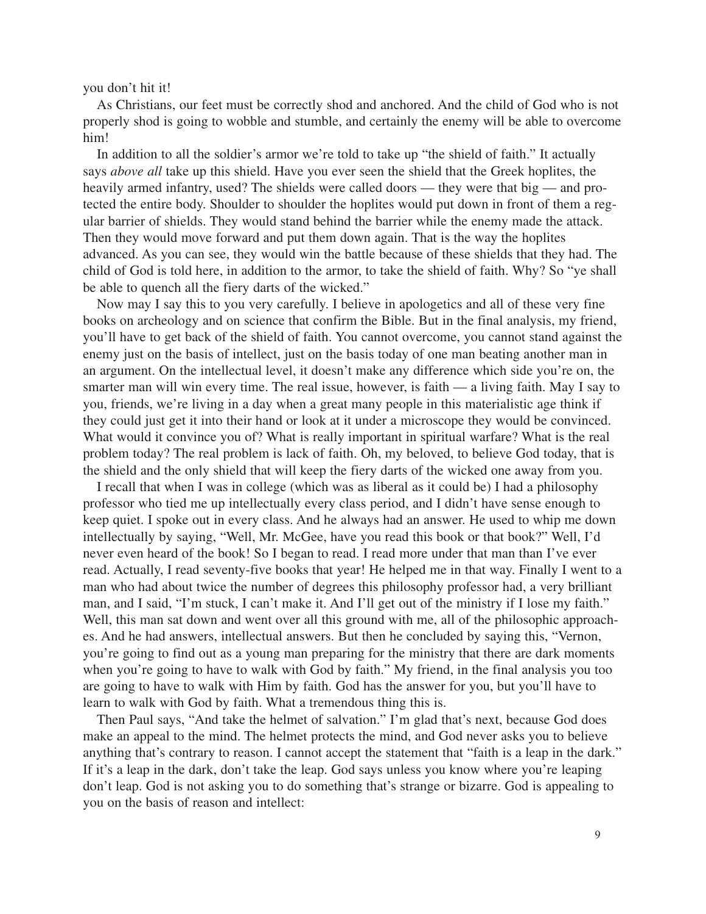you don't hit it!

As Christians, our feet must be correctly shod and anchored. And the child of God who is not properly shod is going to wobble and stumble, and certainly the enemy will be able to overcome him!

In addition to all the soldier's armor we're told to take up "the shield of faith." It actually says *above all* take up this shield. Have you ever seen the shield that the Greek hoplites, the heavily armed infantry, used? The shields were called doors — they were that big — and protected the entire body. Shoulder to shoulder the hoplites would put down in front of them a regular barrier of shields. They would stand behind the barrier while the enemy made the attack. Then they would move forward and put them down again. That is the way the hoplites advanced. As you can see, they would win the battle because of these shields that they had. The child of God is told here, in addition to the armor, to take the shield of faith. Why? So "ye shall be able to quench all the fiery darts of the wicked."

Now may I say this to you very carefully. I believe in apologetics and all of these very fine books on archeology and on science that confirm the Bible. But in the final analysis, my friend, you'll have to get back of the shield of faith. You cannot overcome, you cannot stand against the enemy just on the basis of intellect, just on the basis today of one man beating another man in an argument. On the intellectual level, it doesn't make any difference which side you're on, the smarter man will win every time. The real issue, however, is faith — a living faith. May I say to you, friends, we're living in a day when a great many people in this materialistic age think if they could just get it into their hand or look at it under a microscope they would be convinced. What would it convince you of? What is really important in spiritual warfare? What is the real problem today? The real problem is lack of faith. Oh, my beloved, to believe God today, that is the shield and the only shield that will keep the fiery darts of the wicked one away from you.

I recall that when I was in college (which was as liberal as it could be) I had a philosophy professor who tied me up intellectually every class period, and I didn't have sense enough to keep quiet. I spoke out in every class. And he always had an answer. He used to whip me down intellectually by saying, "Well, Mr. McGee, have you read this book or that book?" Well, I'd never even heard of the book! So I began to read. I read more under that man than I've ever read. Actually, I read seventy-five books that year! He helped me in that way. Finally I went to a man who had about twice the number of degrees this philosophy professor had, a very brilliant man, and I said, "I'm stuck, I can't make it. And I'll get out of the ministry if I lose my faith." Well, this man sat down and went over all this ground with me, all of the philosophic approaches. And he had answers, intellectual answers. But then he concluded by saying this, "Vernon, you're going to find out as a young man preparing for the ministry that there are dark moments when you're going to have to walk with God by faith." My friend, in the final analysis you too are going to have to walk with Him by faith. God has the answer for you, but you'll have to learn to walk with God by faith. What a tremendous thing this is.

Then Paul says, "And take the helmet of salvation." I'm glad that's next, because God does make an appeal to the mind. The helmet protects the mind, and God never asks you to believe anything that's contrary to reason. I cannot accept the statement that "faith is a leap in the dark." If it's a leap in the dark, don't take the leap. God says unless you know where you're leaping don't leap. God is not asking you to do something that's strange or bizarre. God is appealing to you on the basis of reason and intellect: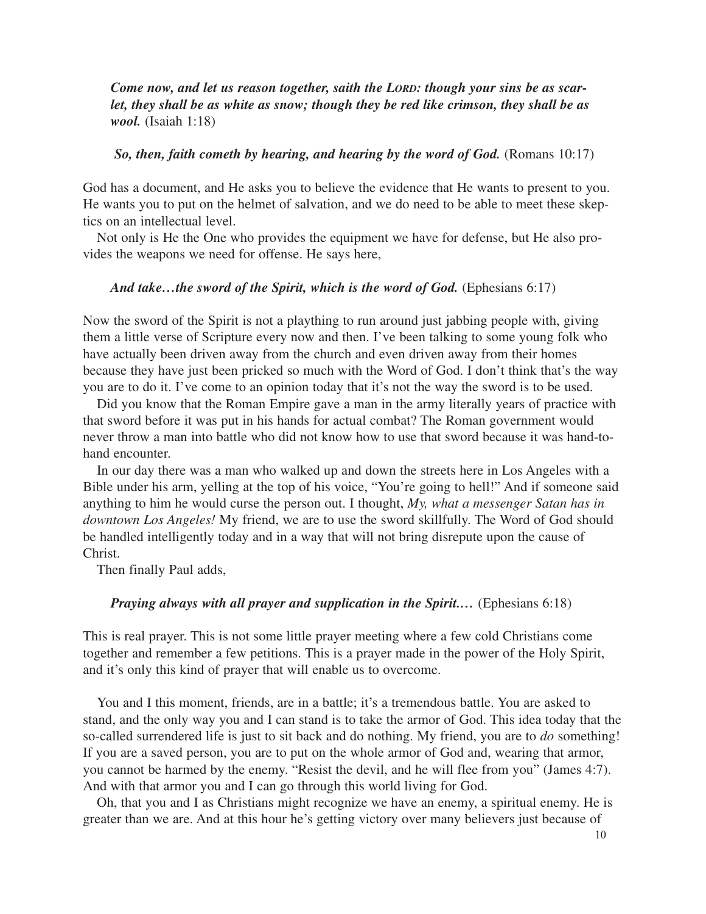*Come now, and let us reason together, saith the LORD: though your sins be as scarlet, they shall be as white as snow; though they be red like crimson, they shall be as wool.* (Isaiah 1:18)

#### *So, then, faith cometh by hearing, and hearing by the word of God.* (Romans 10:17)

God has a document, and He asks you to believe the evidence that He wants to present to you. He wants you to put on the helmet of salvation, and we do need to be able to meet these skeptics on an intellectual level.

Not only is He the One who provides the equipment we have for defense, but He also provides the weapons we need for offense. He says here,

### *And take…the sword of the Spirit, which is the word of God.* (Ephesians 6:17)

Now the sword of the Spirit is not a plaything to run around just jabbing people with, giving them a little verse of Scripture every now and then. I've been talking to some young folk who have actually been driven away from the church and even driven away from their homes because they have just been pricked so much with the Word of God. I don't think that's the way you are to do it. I've come to an opinion today that it's not the way the sword is to be used.

Did you know that the Roman Empire gave a man in the army literally years of practice with that sword before it was put in his hands for actual combat? The Roman government would never throw a man into battle who did not know how to use that sword because it was hand-tohand encounter.

In our day there was a man who walked up and down the streets here in Los Angeles with a Bible under his arm, yelling at the top of his voice, "You're going to hell!" And if someone said anything to him he would curse the person out. I thought, *My, what a messenger Satan has in downtown Los Angeles!* My friend, we are to use the sword skillfully. The Word of God should be handled intelligently today and in a way that will not bring disrepute upon the cause of Christ.

Then finally Paul adds,

## *Praying always with all prayer and supplication in the Spirit....* (Ephesians 6:18)

This is real prayer. This is not some little prayer meeting where a few cold Christians come together and remember a few petitions. This is a prayer made in the power of the Holy Spirit, and it's only this kind of prayer that will enable us to overcome.

You and I this moment, friends, are in a battle; it's a tremendous battle. You are asked to stand, and the only way you and I can stand is to take the armor of God. This idea today that the so-called surrendered life is just to sit back and do nothing. My friend, you are to *do* something! If you are a saved person, you are to put on the whole armor of God and, wearing that armor, you cannot be harmed by the enemy. "Resist the devil, and he will flee from you" (James 4:7). And with that armor you and I can go through this world living for God.

Oh, that you and I as Christians might recognize we have an enemy, a spiritual enemy. He is greater than we are. And at this hour he's getting victory over many believers just because of